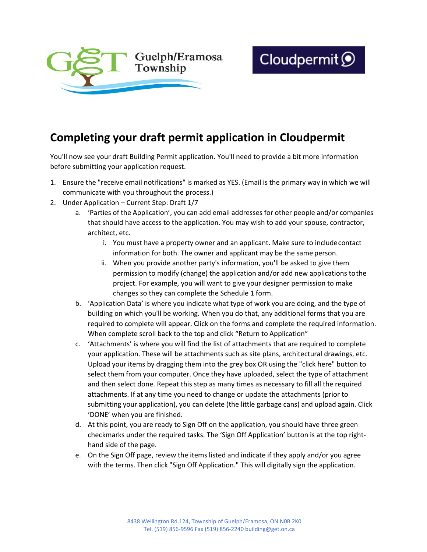

## **Completing your draft permit application in Cloudpermit**

You'll now see your draft Building Permit application. You'll need to provide a bit more information before submitting your application request.

- 1. Ensure the "receive email notifications" is marked as YES. (Email is the primary way in which we will communicate with you throughout the process.)
- 2. Under Application Current Step: Draft 1/7
	- a. 'Parties of the Application', you can add email addresses for other people and/or companies that should have access to the application. You may wish to add your spouse, contractor, architect, etc.
		- i. You must have a property owner and an applicant. Make sure to includecontact information for both. The owner and applicant may be the same person.
		- ii. When you provide another party's information, you'll be asked to give them permission to modify (change) the application and/or add new applications tothe project. For example, you will want to give your designer permission to make changes so they can complete the Schedule 1 form.
	- b. 'Application Data' is where you indicate what type of work you are doing, and the type of building on which you'll be working. When you do that, any additional forms that you are required to complete will appear. Click on the forms and complete the required information. When complete scroll back to the top and click "Return to Application"
	- c. 'Attachments' is where you will find the list of attachments that are required to complete your application. These will be attachments such as site plans, architectural drawings, etc. Upload your items by dragging them into the grey box OR using the "click here" button to select them from your computer. Once they have uploaded, select the type of attachment and then select done. Repeat this step as many times as necessary to fill all the required attachments. If at any time you need to change or update the attachments (prior to submitting your application), you can delete (the little garbage cans) and upload again. Click 'DONE' when you are finished.
	- d. At this point, you are ready to Sign Off on the application, you should have three green checkmarks under the required tasks. The 'Sign Off Application' button is at the top righthand side of the page.
	- e. On the Sign Off page, review the items listed and indicate if they apply and/or you agree with the terms. Then click "Sign Off Application." This will digitally sign the application.